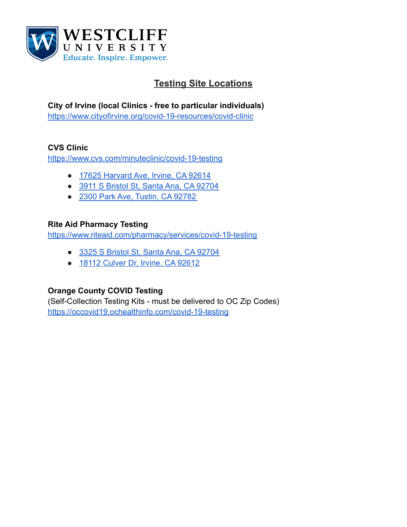

# **Testing Site Locations**

**City of Irvine (local Clinics - free to particular individuals)** <https://www.cityofirvine.org/covid-19-resources/covid-clinic>

## **CVS Clinic**

<https://www.cvs.com/minuteclinic/covid-19-testing>

- [17625 Harvard Ave, Irvine, CA 92614](https://goo.gl/maps/nhJ9vNDUosJVzzXV6)
- [3911 S Bristol St, Santa Ana, CA 92704](https://goo.gl/maps/ddD2qmUfzQgJ8JVYA)
- [2300 Park Ave, Tustin, CA 92782](https://goo.gl/maps/NF2j9H1AHpCarHKdA)

## **Rite Aid Pharmacy Testing**

<https://www.riteaid.com/pharmacy/services/covid-19-testing>

- [3325 S Bristol St, Santa Ana, CA 92704](https://goo.gl/maps/skYPuRf9P3CdSLra9)
- [18112 Culver Dr, Irvine, CA 92612](https://goo.gl/maps/zRPJFh7jUh1eLaU6A)

## **Orange County COVID Testing**

(Self-Collection Testing Kits - must be delivered to OC Zip Codes) <https://occovid19.ochealthinfo.com/covid-19-testing>